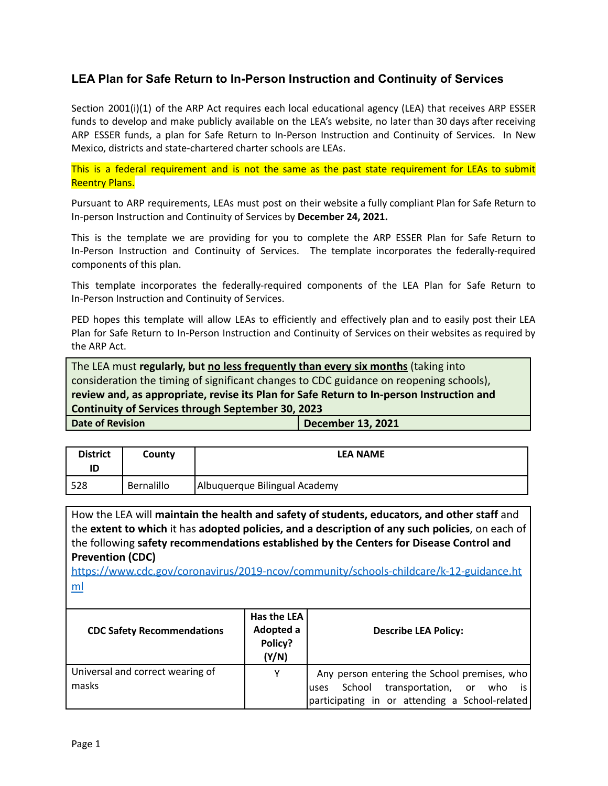## **LEA Plan for Safe Return to In-Person Instruction and Continuity of Services**

Section 2001(i)(1) of the ARP Act requires each local educational agency (LEA) that receives ARP ESSER funds to develop and make publicly available on the LEA's website, no later than 30 days after receiving ARP ESSER funds, a plan for Safe Return to In-Person Instruction and Continuity of Services. In New Mexico, districts and state-chartered charter schools are LEAs.

This is a federal requirement and is not the same as the past state requirement for LEAs to submit Reentry Plans.

Pursuant to ARP requirements, LEAs must post on their website a fully compliant Plan for Safe Return to In-person Instruction and Continuity of Services by **December 24, 2021.**

This is the template we are providing for you to complete the ARP ESSER Plan for Safe Return to In-Person Instruction and Continuity of Services. The template incorporates the federally-required components of this plan.

This template incorporates the federally-required components of the LEA Plan for Safe Return to In-Person Instruction and Continuity of Services.

PED hopes this template will allow LEAs to efficiently and effectively plan and to easily post their LEA Plan for Safe Return to In-Person Instruction and Continuity of Services on their websites as required by the ARP Act.

The LEA must **regularly, but no less frequently than every six months** (taking into consideration the timing of significant changes to CDC guidance on reopening schools), **review and, as appropriate, revise its Plan for Safe Return to In-person Instruction and Continuity of Services through September 30, 2023 Date of Revision December 13, 2021** 

| <b>District</b><br>ID | County     | <b>LEA NAME</b>               |
|-----------------------|------------|-------------------------------|
| 528                   | Bernalillo | Albuquerque Bilingual Academy |

How the LEA will **maintain the health and safety of students, educators, and other staff** and the **extent to which** it has **adopted policies, and a description of any such policies**, on each of the following **safety recommendations established by the Centers for Disease Control and Prevention (CDC)**

[https://www.cdc.gov/coronavirus/2019-ncov/community/schools-childcare/k-12-guidance.ht](https://www.cdc.gov/coronavirus/2019-ncov/community/schools-childcare/k-12-guidance.html) [ml](https://www.cdc.gov/coronavirus/2019-ncov/community/schools-childcare/k-12-guidance.html)

| <b>CDC Safety Recommendations</b>         | Has the LEA<br>Adopted a<br>Policy?<br>(Y/N) | <b>Describe LEA Policy:</b>                                                                                                                 |
|-------------------------------------------|----------------------------------------------|---------------------------------------------------------------------------------------------------------------------------------------------|
| Universal and correct wearing of<br>masks | Y                                            | Any person entering the School premises, who<br>School transportation, or who is<br>luses<br>participating in or attending a School-related |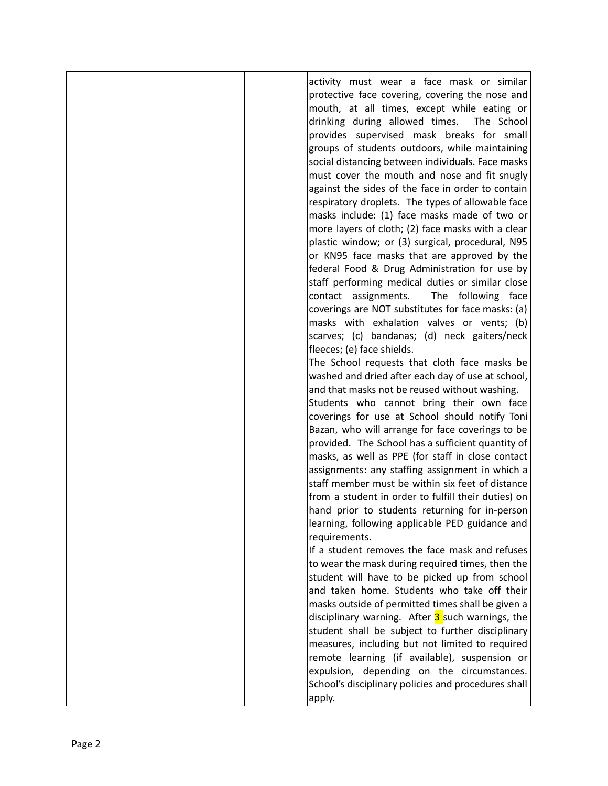|  | activity must wear a face mask or similar           |
|--|-----------------------------------------------------|
|  |                                                     |
|  | protective face covering, covering the nose and     |
|  | mouth, at all times, except while eating or         |
|  | drinking during allowed times.<br>The School        |
|  |                                                     |
|  | provides supervised mask breaks for small           |
|  | groups of students outdoors, while maintaining      |
|  | social distancing between individuals. Face masks   |
|  | must cover the mouth and nose and fit snugly        |
|  |                                                     |
|  | against the sides of the face in order to contain   |
|  | respiratory droplets. The types of allowable face   |
|  | masks include: (1) face masks made of two or        |
|  |                                                     |
|  | more layers of cloth; (2) face masks with a clear   |
|  | plastic window; or (3) surgical, procedural, N95    |
|  | or KN95 face masks that are approved by the         |
|  | federal Food & Drug Administration for use by       |
|  |                                                     |
|  | staff performing medical duties or similar close    |
|  | The following face<br>contact assignments.          |
|  | coverings are NOT substitutes for face masks: (a)   |
|  | masks with exhalation valves or vents; (b)          |
|  |                                                     |
|  | scarves; (c) bandanas; (d) neck gaiters/neck        |
|  | fleeces; (e) face shields.                          |
|  | The School requests that cloth face masks be        |
|  | washed and dried after each day of use at school,   |
|  |                                                     |
|  | and that masks not be reused without washing.       |
|  | Students who cannot bring their own face            |
|  | coverings for use at School should notify Toni      |
|  | Bazan, who will arrange for face coverings to be    |
|  |                                                     |
|  | provided. The School has a sufficient quantity of   |
|  | masks, as well as PPE (for staff in close contact   |
|  | assignments: any staffing assignment in which a     |
|  | staff member must be within six feet of distance    |
|  |                                                     |
|  | from a student in order to fulfill their duties) on |
|  | hand prior to students returning for in-person      |
|  | learning, following applicable PED guidance and     |
|  | requirements.                                       |
|  | If a student removes the face mask and refuses      |
|  |                                                     |
|  | to wear the mask during required times, then the    |
|  | student will have to be picked up from school       |
|  | and taken home. Students who take off their         |
|  |                                                     |
|  | masks outside of permitted times shall be given a   |
|  | disciplinary warning. After 3 such warnings, the    |
|  | student shall be subject to further disciplinary    |
|  | measures, including but not limited to required     |
|  |                                                     |
|  | remote learning (if available), suspension or       |
|  | expulsion, depending on the circumstances.          |
|  | School's disciplinary policies and procedures shall |
|  |                                                     |
|  | apply.                                              |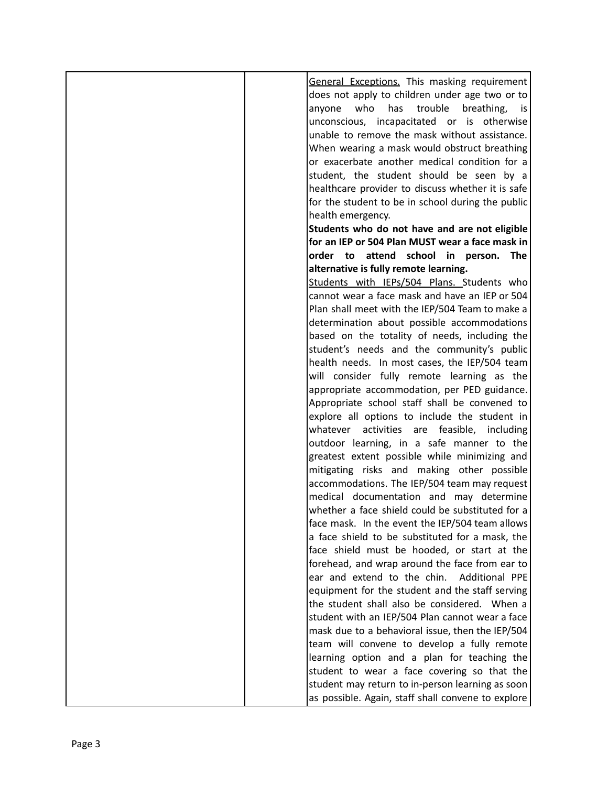| General Exceptions. This masking requirement         |
|------------------------------------------------------|
| does not apply to children under age two or to       |
| who<br>has<br>trouble<br>breathing,<br>anyone<br>is. |
| unconscious, incapacitated or is otherwise           |
| unable to remove the mask without assistance.        |
|                                                      |
| When wearing a mask would obstruct breathing         |
| or exacerbate another medical condition for a        |
| student, the student should be seen by a             |
| healthcare provider to discuss whether it is safe    |
| for the student to be in school during the public    |
| health emergency.                                    |
| Students who do not have and are not eligible        |
| for an IEP or 504 Plan MUST wear a face mask in      |
| order to attend school in person. The                |
| alternative is fully remote learning.                |
|                                                      |
| Students with IEPs/504 Plans. Students who           |
| cannot wear a face mask and have an IEP or 504       |
| Plan shall meet with the IEP/504 Team to make a      |
| determination about possible accommodations          |
| based on the totality of needs, including the        |
| student's needs and the community's public           |
| health needs. In most cases, the IEP/504 team        |
| will consider fully remote learning as the           |
| appropriate accommodation, per PED guidance.         |
| Appropriate school staff shall be convened to        |
|                                                      |
| explore all options to include the student in        |
| activities are feasible, including<br>whatever       |
| outdoor learning, in a safe manner to the            |
| greatest extent possible while minimizing and        |
| mitigating risks and making other possible           |
| accommodations. The IEP/504 team may request         |
| medical documentation and may determine              |
| whether a face shield could be substituted for a     |
| face mask. In the event the IEP/504 team allows      |
| a face shield to be substituted for a mask, the      |
| face shield must be hooded, or start at the          |
| forehead, and wrap around the face from ear to       |
| ear and extend to the chin.<br>Additional PPE        |
|                                                      |
| equipment for the student and the staff serving      |
| the student shall also be considered. When a         |
| student with an IEP/504 Plan cannot wear a face      |
| mask due to a behavioral issue, then the IEP/504     |
| team will convene to develop a fully remote          |
| learning option and a plan for teaching the          |
| student to wear a face covering so that the          |
| student may return to in-person learning as soon     |
| as possible. Again, staff shall convene to explore   |
|                                                      |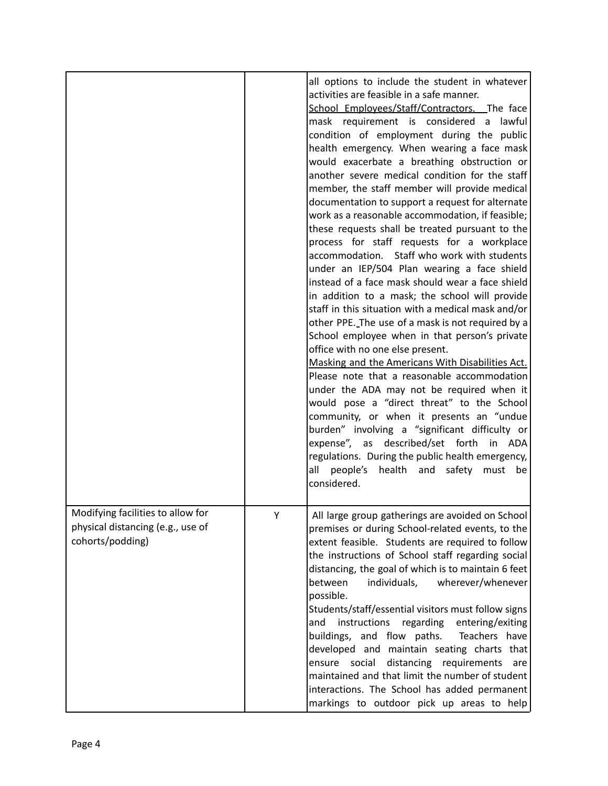|                                                                                            |   | all options to include the student in whatever<br>activities are feasible in a safe manner.<br>School Employees/Staff/Contractors. The face<br>mask requirement is considered a<br>lawful<br>condition of employment during the public<br>health emergency. When wearing a face mask<br>would exacerbate a breathing obstruction or<br>another severe medical condition for the staff<br>member, the staff member will provide medical<br>documentation to support a request for alternate<br>work as a reasonable accommodation, if feasible;<br>these requests shall be treated pursuant to the<br>process for staff requests for a workplace<br>accommodation. Staff who work with students<br>under an IEP/504 Plan wearing a face shield<br>instead of a face mask should wear a face shield<br>in addition to a mask; the school will provide<br>staff in this situation with a medical mask and/or<br>other PPE. The use of a mask is not required by a<br>School employee when in that person's private<br>office with no one else present.<br>Masking and the Americans With Disabilities Act.<br>Please note that a reasonable accommodation<br>under the ADA may not be required when it<br>would pose a "direct threat" to the School<br>community, or when it presents an "undue<br>burden" involving a "significant difficulty or<br>expense", as described/set forth in ADA<br>regulations. During the public health emergency,<br>all people's<br>health and safety<br>must be<br>considered. |
|--------------------------------------------------------------------------------------------|---|---------------------------------------------------------------------------------------------------------------------------------------------------------------------------------------------------------------------------------------------------------------------------------------------------------------------------------------------------------------------------------------------------------------------------------------------------------------------------------------------------------------------------------------------------------------------------------------------------------------------------------------------------------------------------------------------------------------------------------------------------------------------------------------------------------------------------------------------------------------------------------------------------------------------------------------------------------------------------------------------------------------------------------------------------------------------------------------------------------------------------------------------------------------------------------------------------------------------------------------------------------------------------------------------------------------------------------------------------------------------------------------------------------------------------------------------------------------------------------------------------------------|
| Modifying facilities to allow for<br>physical distancing (e.g., use of<br>cohorts/podding) | Y | All large group gatherings are avoided on School<br>premises or during School-related events, to the<br>extent feasible. Students are required to follow<br>the instructions of School staff regarding social<br>distancing, the goal of which is to maintain 6 feet<br>between<br>individuals,<br>wherever/whenever<br>possible.<br>Students/staff/essential visitors must follow signs<br>instructions<br>regarding<br>entering/exiting<br>and<br>buildings, and flow paths.<br>Teachers have<br>developed and maintain seating charts that<br>ensure social distancing requirements<br>are<br>maintained and that limit the number of student<br>interactions. The School has added permanent<br>markings to outdoor pick up areas to help                                                                                                                                                                                                                                                                                                                                                                                                                                                                                                                                                                                                                                                                                                                                                                 |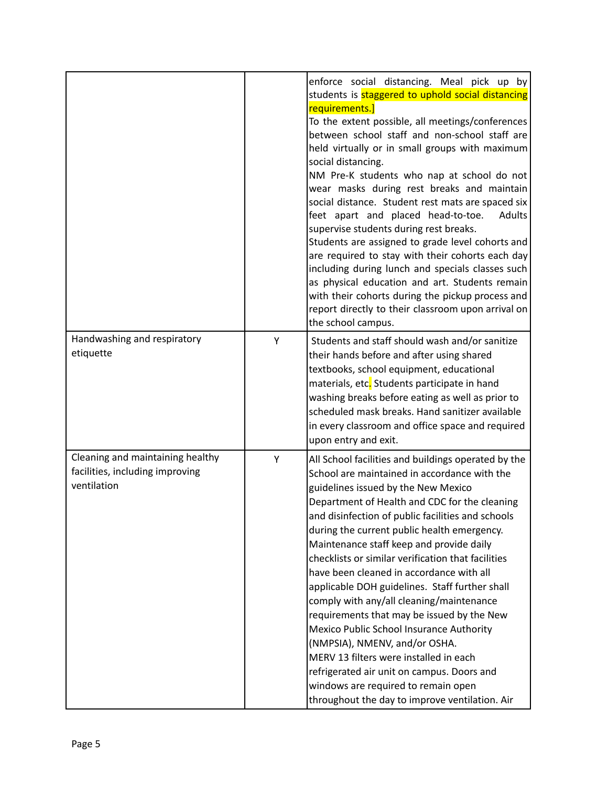|                                                                                    |   | enforce social distancing. Meal pick up by<br>students is <b>staggered to uphold social distancing</b><br>requirements.]<br>To the extent possible, all meetings/conferences<br>between school staff and non-school staff are<br>held virtually or in small groups with maximum<br>social distancing.<br>NM Pre-K students who nap at school do not<br>wear masks during rest breaks and maintain<br>social distance. Student rest mats are spaced six<br>feet apart and placed head-to-toe.<br>Adults<br>supervise students during rest breaks.<br>Students are assigned to grade level cohorts and<br>are required to stay with their cohorts each day<br>including during lunch and specials classes such<br>as physical education and art. Students remain<br>with their cohorts during the pickup process and<br>report directly to their classroom upon arrival on<br>the school campus. |
|------------------------------------------------------------------------------------|---|------------------------------------------------------------------------------------------------------------------------------------------------------------------------------------------------------------------------------------------------------------------------------------------------------------------------------------------------------------------------------------------------------------------------------------------------------------------------------------------------------------------------------------------------------------------------------------------------------------------------------------------------------------------------------------------------------------------------------------------------------------------------------------------------------------------------------------------------------------------------------------------------|
| Handwashing and respiratory<br>etiquette                                           | Υ | Students and staff should wash and/or sanitize<br>their hands before and after using shared<br>textbooks, school equipment, educational<br>materials, etc. Students participate in hand<br>washing breaks before eating as well as prior to<br>scheduled mask breaks. Hand sanitizer available<br>in every classroom and office space and required<br>upon entry and exit.                                                                                                                                                                                                                                                                                                                                                                                                                                                                                                                     |
| Cleaning and maintaining healthy<br>facilities, including improving<br>ventilation | Y | All School facilities and buildings operated by the<br>School are maintained in accordance with the<br>guidelines issued by the New Mexico<br>Department of Health and CDC for the cleaning<br>and disinfection of public facilities and schools<br>during the current public health emergency.<br>Maintenance staff keep and provide daily<br>checklists or similar verification that facilities<br>have been cleaned in accordance with all<br>applicable DOH guidelines. Staff further shall<br>comply with any/all cleaning/maintenance<br>requirements that may be issued by the New<br>Mexico Public School Insurance Authority<br>(NMPSIA), NMENV, and/or OSHA.<br>MERV 13 filters were installed in each<br>refrigerated air unit on campus. Doors and<br>windows are required to remain open<br>throughout the day to improve ventilation. Air                                        |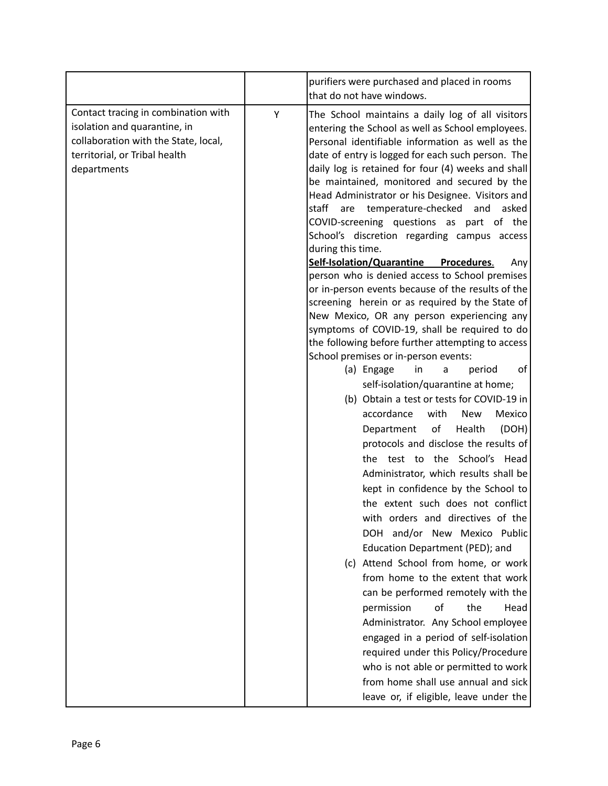|                                                                                                                                                             |   | purifiers were purchased and placed in rooms<br>that do not have windows.                                                                                                                                                                                                                                                                                                                                                                                                                                                                                                                                                                                                                                                                                                                                                                                                                                                                                                                                                                                                                                                                                                                                                                                                                                                                                                                                                                                                                                                                                                                                                                                                                                                                                                                                                                                                                  |
|-------------------------------------------------------------------------------------------------------------------------------------------------------------|---|--------------------------------------------------------------------------------------------------------------------------------------------------------------------------------------------------------------------------------------------------------------------------------------------------------------------------------------------------------------------------------------------------------------------------------------------------------------------------------------------------------------------------------------------------------------------------------------------------------------------------------------------------------------------------------------------------------------------------------------------------------------------------------------------------------------------------------------------------------------------------------------------------------------------------------------------------------------------------------------------------------------------------------------------------------------------------------------------------------------------------------------------------------------------------------------------------------------------------------------------------------------------------------------------------------------------------------------------------------------------------------------------------------------------------------------------------------------------------------------------------------------------------------------------------------------------------------------------------------------------------------------------------------------------------------------------------------------------------------------------------------------------------------------------------------------------------------------------------------------------------------------------|
| Contact tracing in combination with<br>isolation and quarantine, in<br>collaboration with the State, local,<br>territorial, or Tribal health<br>departments | Υ | The School maintains a daily log of all visitors<br>entering the School as well as School employees.<br>Personal identifiable information as well as the<br>date of entry is logged for each such person. The<br>daily log is retained for four (4) weeks and shall<br>be maintained, monitored and secured by the<br>Head Administrator or his Designee. Visitors and<br>staff are temperature-checked<br>and<br>asked<br>COVID-screening questions as part of the<br>School's discretion regarding campus access<br>during this time.<br><b>Self-Isolation/Quarantine</b><br>Procedures.<br>Any<br>person who is denied access to School premises<br>or in-person events because of the results of the<br>screening herein or as required by the State of<br>New Mexico, OR any person experiencing any<br>symptoms of COVID-19, shall be required to do<br>the following before further attempting to access<br>School premises or in-person events:<br>of<br>(a) Engage<br>in<br>period<br>a<br>self-isolation/quarantine at home;<br>(b) Obtain a test or tests for COVID-19 in<br>accordance<br>with<br>Mexico<br><b>New</b><br>оf<br>(DOH)<br>Health<br>Department<br>protocols and disclose the results of<br>the test to the School's Head<br>Administrator, which results shall be<br>kept in confidence by the School to<br>the extent such does not conflict<br>with orders and directives of the<br>and/or New Mexico Public<br>DOH.<br>Education Department (PED); and<br>(c) Attend School from home, or work<br>from home to the extent that work<br>can be performed remotely with the<br>of<br>the<br>permission<br>Head<br>Administrator. Any School employee<br>engaged in a period of self-isolation<br>required under this Policy/Procedure<br>who is not able or permitted to work<br>from home shall use annual and sick<br>leave or, if eligible, leave under the |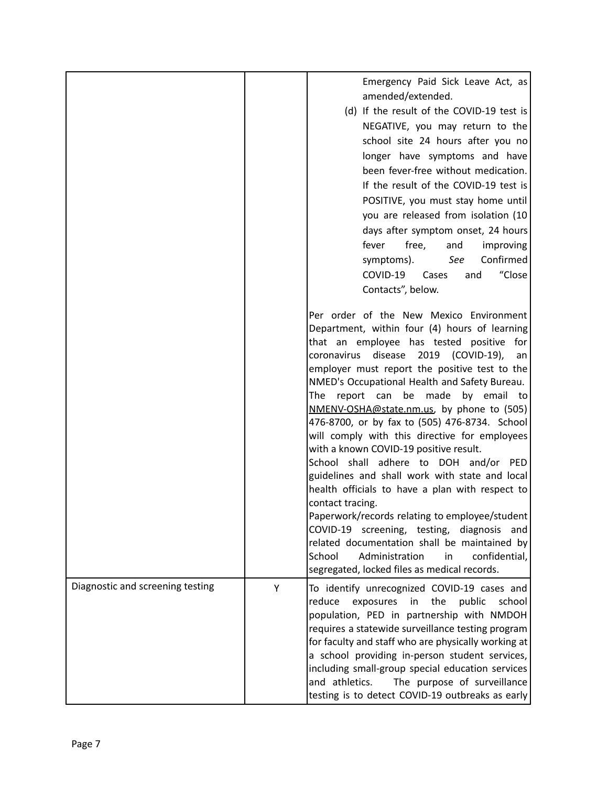|                                  |   | Emergency Paid Sick Leave Act, as<br>amended/extended.<br>(d) If the result of the COVID-19 test is<br>NEGATIVE, you may return to the<br>school site 24 hours after you no<br>longer have symptoms and have<br>been fever-free without medication.<br>If the result of the COVID-19 test is<br>POSITIVE, you must stay home until<br>you are released from isolation (10<br>days after symptom onset, 24 hours<br>free,<br>fever<br>and<br>improving<br>Confirmed<br>See<br>symptoms).<br>"Close<br>COVID-19<br>Cases<br>and<br>Contacts", below.<br>Per order of the New Mexico Environment<br>Department, within four (4) hours of learning                                                                                                                                                                                                           |
|----------------------------------|---|----------------------------------------------------------------------------------------------------------------------------------------------------------------------------------------------------------------------------------------------------------------------------------------------------------------------------------------------------------------------------------------------------------------------------------------------------------------------------------------------------------------------------------------------------------------------------------------------------------------------------------------------------------------------------------------------------------------------------------------------------------------------------------------------------------------------------------------------------------|
|                                  |   | that an employee has tested positive for<br>disease<br>2019<br>(COVID-19),<br>coronavirus<br>an<br>employer must report the positive test to the<br>NMED's Occupational Health and Safety Bureau.<br>The report can be made by email to<br>NMENV-OSHA@state.nm.us, by phone to (505)<br>476-8700, or by fax to (505) 476-8734. School<br>will comply with this directive for employees<br>with a known COVID-19 positive result.<br>School shall adhere to DOH and/or PED<br>guidelines and shall work with state and local<br>health officials to have a plan with respect to<br>contact tracing.<br>Paperwork/records relating to employee/student<br>COVID-19 screening, testing, diagnosis<br>and<br>related documentation shall be maintained by<br>Administration<br>School<br>confidential,<br>in<br>segregated, locked files as medical records. |
| Diagnostic and screening testing | Y | To identify unrecognized COVID-19 cases and<br>reduce<br>exposures<br>the<br>public<br>school<br>in<br>population, PED in partnership with NMDOH<br>requires a statewide surveillance testing program<br>for faculty and staff who are physically working at<br>a school providing in-person student services,<br>including small-group special education services<br>and athletics.<br>The purpose of surveillance<br>testing is to detect COVID-19 outbreaks as early                                                                                                                                                                                                                                                                                                                                                                                  |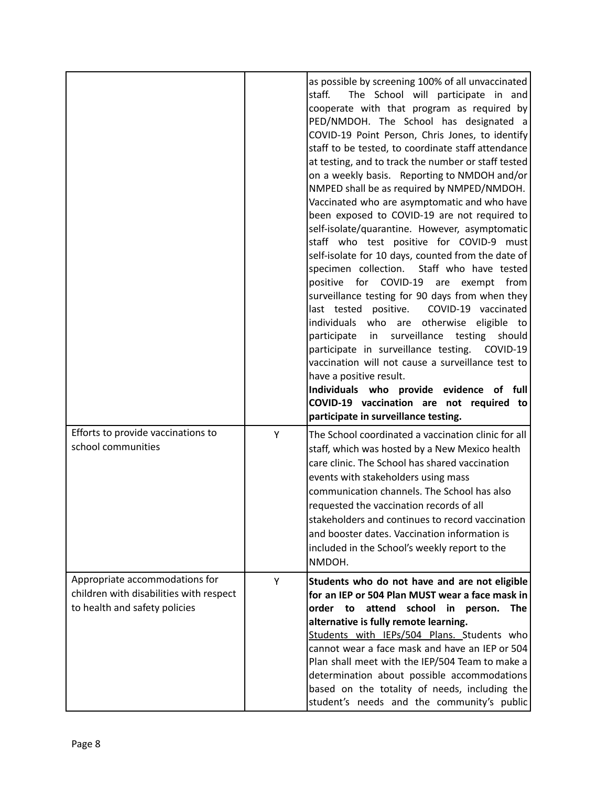|                                                                                                            |   | as possible by screening 100% of all unvaccinated<br>staff.<br>The School will participate in and<br>cooperate with that program as required by<br>PED/NMDOH. The School has designated a<br>COVID-19 Point Person, Chris Jones, to identify<br>staff to be tested, to coordinate staff attendance<br>at testing, and to track the number or staff tested<br>on a weekly basis. Reporting to NMDOH and/or<br>NMPED shall be as required by NMPED/NMDOH.<br>Vaccinated who are asymptomatic and who have<br>been exposed to COVID-19 are not required to<br>self-isolate/quarantine. However, asymptomatic<br>staff who test positive for COVID-9 must<br>self-isolate for 10 days, counted from the date of<br>specimen collection. Staff who have tested<br>positive for COVID-19 are exempt from<br>surveillance testing for 90 days from when they<br>last tested positive.<br>COVID-19 vaccinated<br>individuals who are otherwise eligible to<br>participate in surveillance testing<br>should<br>participate in surveillance testing. COVID-19<br>vaccination will not cause a surveillance test to<br>have a positive result.<br>Individuals who provide evidence of full<br>COVID-19 vaccination are not required to<br>participate in surveillance testing. |
|------------------------------------------------------------------------------------------------------------|---|----------------------------------------------------------------------------------------------------------------------------------------------------------------------------------------------------------------------------------------------------------------------------------------------------------------------------------------------------------------------------------------------------------------------------------------------------------------------------------------------------------------------------------------------------------------------------------------------------------------------------------------------------------------------------------------------------------------------------------------------------------------------------------------------------------------------------------------------------------------------------------------------------------------------------------------------------------------------------------------------------------------------------------------------------------------------------------------------------------------------------------------------------------------------------------------------------------------------------------------------------------------------|
| Efforts to provide vaccinations to<br>school communities                                                   | Y | The School coordinated a vaccination clinic for all<br>staff, which was hosted by a New Mexico health<br>care clinic. The School has shared vaccination<br>events with stakeholders using mass<br>communication channels. The School has also<br>requested the vaccination records of all<br>stakeholders and continues to record vaccination<br>and booster dates. Vaccination information is<br>included in the School's weekly report to the<br>NMDOH.                                                                                                                                                                                                                                                                                                                                                                                                                                                                                                                                                                                                                                                                                                                                                                                                            |
| Appropriate accommodations for<br>children with disabilities with respect<br>to health and safety policies | Υ | Students who do not have and are not eligible<br>for an IEP or 504 Plan MUST wear a face mask in<br>order<br>attend<br>school in person.<br><b>The</b><br>to<br>alternative is fully remote learning.<br>Students with IEPs/504 Plans. Students who<br>cannot wear a face mask and have an IEP or 504<br>Plan shall meet with the IEP/504 Team to make a<br>determination about possible accommodations<br>based on the totality of needs, including the<br>student's needs and the community's public                                                                                                                                                                                                                                                                                                                                                                                                                                                                                                                                                                                                                                                                                                                                                               |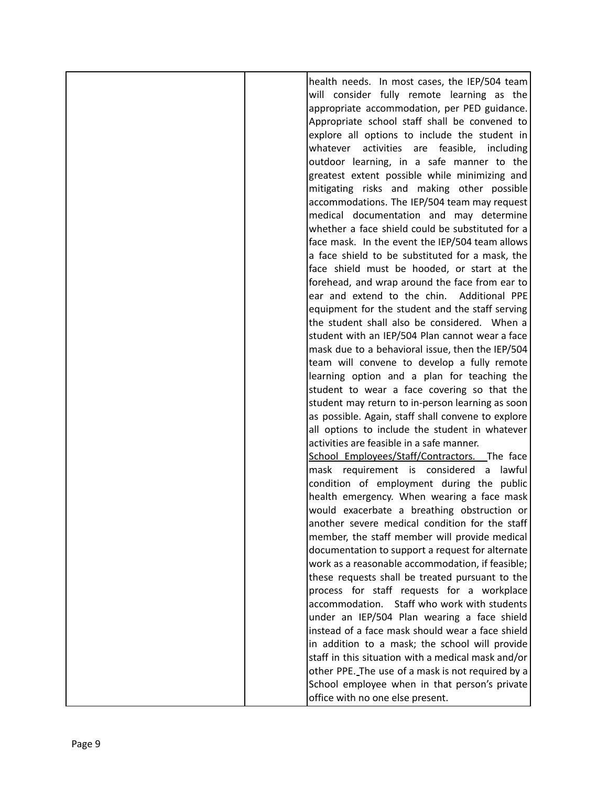| health needs. In most cases, the IEP/504 team      |
|----------------------------------------------------|
| will consider fully remote learning as the         |
| appropriate accommodation, per PED guidance.       |
| Appropriate school staff shall be convened to      |
| explore all options to include the student in      |
| activities are feasible, including<br>whatever     |
| outdoor learning, in a safe manner to the          |
| greatest extent possible while minimizing and      |
| mitigating risks and making other possible         |
|                                                    |
| accommodations. The IEP/504 team may request       |
| medical documentation and may determine            |
| whether a face shield could be substituted for a   |
| face mask. In the event the IEP/504 team allows    |
| a face shield to be substituted for a mask, the    |
| face shield must be hooded, or start at the        |
| forehead, and wrap around the face from ear to     |
| ear and extend to the chin. Additional PPE         |
| equipment for the student and the staff serving    |
| the student shall also be considered. When a       |
| student with an IEP/504 Plan cannot wear a face    |
| mask due to a behavioral issue, then the IEP/504   |
| team will convene to develop a fully remote        |
| learning option and a plan for teaching the        |
| student to wear a face covering so that the        |
| student may return to in-person learning as soon   |
| as possible. Again, staff shall convene to explore |
| all options to include the student in whatever     |
| activities are feasible in a safe manner.          |
| School Employees/Staff/Contractors. The face       |
| mask requirement is considered a<br>lawful         |
| condition of employment during the public          |
| health emergency. When wearing a face mask         |
| would exacerbate a breathing obstruction or        |
| another severe medical condition for the staff     |
| member, the staff member will provide medical      |
| documentation to support a request for alternate   |
| work as a reasonable accommodation, if feasible;   |
| these requests shall be treated pursuant to the    |
| process for staff requests for a workplace         |
| Staff who work with students<br>accommodation.     |
| under an IEP/504 Plan wearing a face shield        |
| instead of a face mask should wear a face shield   |
| in addition to a mask; the school will provide     |
| staff in this situation with a medical mask and/or |
| other PPE. The use of a mask is not required by a  |
| School employee when in that person's private      |
| office with no one else present.                   |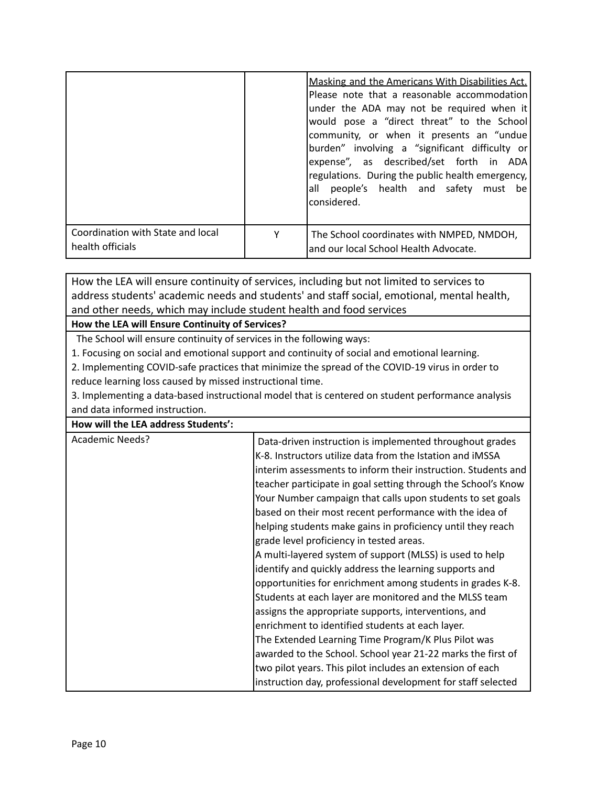|                                                       |   | Masking and the Americans With Disabilities Act.<br>Please note that a reasonable accommodation<br>under the ADA may not be required when it<br>would pose a "direct threat" to the School<br>community, or when it presents an "undue<br>burden" involving a "significant difficulty or<br>expense", as described/set forth in ADA<br>regulations. During the public health emergency,<br>all people's health and safety must be<br>considered. |
|-------------------------------------------------------|---|--------------------------------------------------------------------------------------------------------------------------------------------------------------------------------------------------------------------------------------------------------------------------------------------------------------------------------------------------------------------------------------------------------------------------------------------------|
| Coordination with State and local<br>health officials | γ | The School coordinates with NMPED, NMDOH,<br>and our local School Health Advocate.                                                                                                                                                                                                                                                                                                                                                               |

How the LEA will ensure continuity of services, including but not limited to services to address students' academic needs and students' and staff social, emotional, mental health, and other needs, which may include student health and food services

### **How the LEA will Ensure Continuity of Services?**

The School will ensure continuity of services in the following ways:

1. Focusing on social and emotional support and continuity of social and emotional learning.

2. Implementing COVID-safe practices that minimize the spread of the COVID-19 virus in order to reduce learning loss caused by missed instructional time.

3. Implementing a data-based instructional model that is centered on student performance analysis and data informed instruction.

| How will the LEA address Students': |  |
|-------------------------------------|--|
|-------------------------------------|--|

| <b>Academic Needs?</b> | Data-driven instruction is implemented throughout grades      |
|------------------------|---------------------------------------------------------------|
|                        | K-8. Instructors utilize data from the Istation and iMSSA     |
|                        | interim assessments to inform their instruction. Students and |
|                        | teacher participate in goal setting through the School's Know |
|                        | Your Number campaign that calls upon students to set goals    |
|                        | based on their most recent performance with the idea of       |
|                        | helping students make gains in proficiency until they reach   |
|                        | grade level proficiency in tested areas.                      |
|                        | A multi-layered system of support (MLSS) is used to help      |
|                        | identify and quickly address the learning supports and        |
|                        | opportunities for enrichment among students in grades K-8.    |
|                        | Students at each layer are monitored and the MLSS team        |
|                        | assigns the appropriate supports, interventions, and          |
|                        | enrichment to identified students at each layer.              |
|                        | The Extended Learning Time Program/K Plus Pilot was           |
|                        | awarded to the School. School year 21-22 marks the first of   |
|                        | two pilot years. This pilot includes an extension of each     |
|                        | instruction day, professional development for staff selected  |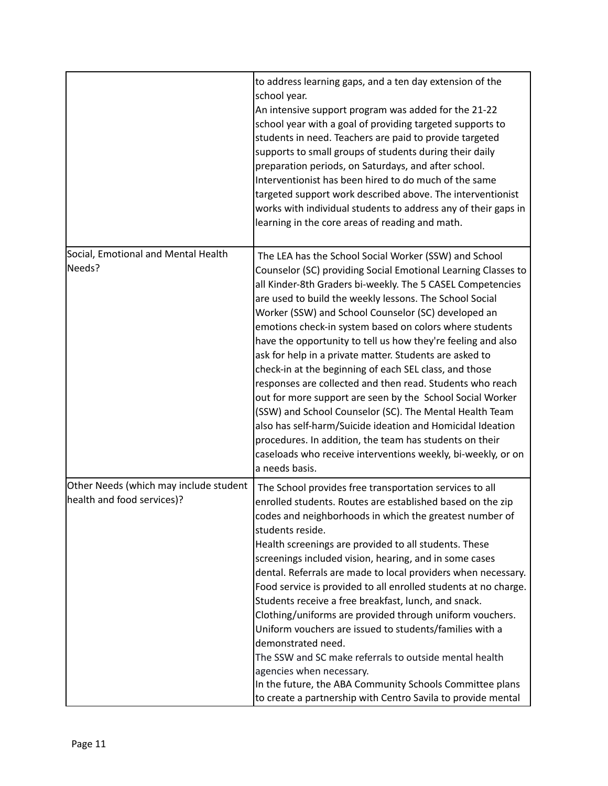|                                                                      | to address learning gaps, and a ten day extension of the<br>school year.<br>An intensive support program was added for the 21-22<br>school year with a goal of providing targeted supports to<br>students in need. Teachers are paid to provide targeted<br>supports to small groups of students during their daily<br>preparation periods, on Saturdays, and after school.<br>Interventionist has been hired to do much of the same<br>targeted support work described above. The interventionist<br>works with individual students to address any of their gaps in<br>learning in the core areas of reading and math.                                                                                                                                                                                                                                                                                                                                |
|----------------------------------------------------------------------|--------------------------------------------------------------------------------------------------------------------------------------------------------------------------------------------------------------------------------------------------------------------------------------------------------------------------------------------------------------------------------------------------------------------------------------------------------------------------------------------------------------------------------------------------------------------------------------------------------------------------------------------------------------------------------------------------------------------------------------------------------------------------------------------------------------------------------------------------------------------------------------------------------------------------------------------------------|
| Social, Emotional and Mental Health<br>Needs?                        | The LEA has the School Social Worker (SSW) and School<br>Counselor (SC) providing Social Emotional Learning Classes to<br>all Kinder-8th Graders bi-weekly. The 5 CASEL Competencies<br>are used to build the weekly lessons. The School Social<br>Worker (SSW) and School Counselor (SC) developed an<br>emotions check-in system based on colors where students<br>have the opportunity to tell us how they're feeling and also<br>ask for help in a private matter. Students are asked to<br>check-in at the beginning of each SEL class, and those<br>responses are collected and then read. Students who reach<br>out for more support are seen by the School Social Worker<br>(SSW) and School Counselor (SC). The Mental Health Team<br>also has self-harm/Suicide ideation and Homicidal Ideation<br>procedures. In addition, the team has students on their<br>caseloads who receive interventions weekly, bi-weekly, or on<br>a needs basis. |
| Other Needs (which may include student<br>health and food services)? | The School provides free transportation services to all<br>enrolled students. Routes are established based on the zip<br>codes and neighborhoods in which the greatest number of<br>students reside.<br>Health screenings are provided to all students. These<br>screenings included vision, hearing, and in some cases<br>dental. Referrals are made to local providers when necessary.<br>Food service is provided to all enrolled students at no charge.<br>Students receive a free breakfast, lunch, and snack.<br>Clothing/uniforms are provided through uniform vouchers.<br>Uniform vouchers are issued to students/families with a<br>demonstrated need.<br>The SSW and SC make referrals to outside mental health<br>agencies when necessary.<br>In the future, the ABA Community Schools Committee plans<br>to create a partnership with Centro Savila to provide mental                                                                     |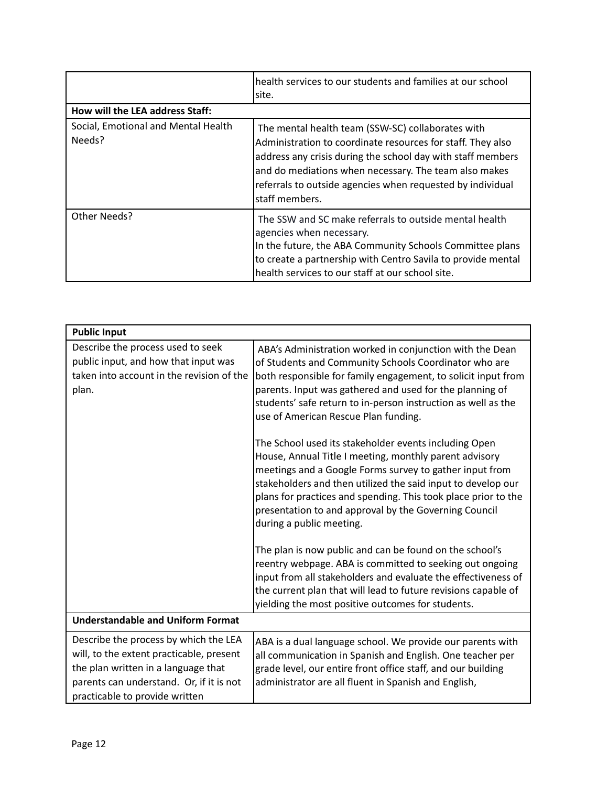|                                               | health services to our students and families at our school<br>site.                                                                                                                                                                                                                                                      |
|-----------------------------------------------|--------------------------------------------------------------------------------------------------------------------------------------------------------------------------------------------------------------------------------------------------------------------------------------------------------------------------|
| How will the LEA address Staff:               |                                                                                                                                                                                                                                                                                                                          |
| Social, Emotional and Mental Health<br>Needs? | The mental health team (SSW-SC) collaborates with<br>Administration to coordinate resources for staff. They also<br>address any crisis during the school day with staff members<br>and do mediations when necessary. The team also makes<br>referrals to outside agencies when requested by individual<br>staff members. |
| Other Needs?                                  | The SSW and SC make referrals to outside mental health<br>agencies when necessary.<br>In the future, the ABA Community Schools Committee plans<br>to create a partnership with Centro Savila to provide mental<br>health services to our staff at our school site.                                                       |

| <b>Public Input</b>                                                                                                                                                                                    |                                                                                                                                                                                                                                                                                                                                                                                                                                                                                                                                                                                                       |
|--------------------------------------------------------------------------------------------------------------------------------------------------------------------------------------------------------|-------------------------------------------------------------------------------------------------------------------------------------------------------------------------------------------------------------------------------------------------------------------------------------------------------------------------------------------------------------------------------------------------------------------------------------------------------------------------------------------------------------------------------------------------------------------------------------------------------|
| Describe the process used to seek<br>public input, and how that input was<br>taken into account in the revision of the<br>plan.                                                                        | ABA's Administration worked in conjunction with the Dean<br>of Students and Community Schools Coordinator who are<br>both responsible for family engagement, to solicit input from<br>parents. Input was gathered and used for the planning of<br>students' safe return to in-person instruction as well as the<br>use of American Rescue Plan funding.<br>The School used its stakeholder events including Open<br>House, Annual Title I meeting, monthly parent advisory<br>meetings and a Google Forms survey to gather input from<br>stakeholders and then utilized the said input to develop our |
|                                                                                                                                                                                                        | plans for practices and spending. This took place prior to the<br>presentation to and approval by the Governing Council<br>during a public meeting.<br>The plan is now public and can be found on the school's<br>reentry webpage. ABA is committed to seeking out ongoing                                                                                                                                                                                                                                                                                                                            |
|                                                                                                                                                                                                        | input from all stakeholders and evaluate the effectiveness of<br>the current plan that will lead to future revisions capable of<br>yielding the most positive outcomes for students.                                                                                                                                                                                                                                                                                                                                                                                                                  |
| <b>Understandable and Uniform Format</b>                                                                                                                                                               |                                                                                                                                                                                                                                                                                                                                                                                                                                                                                                                                                                                                       |
| Describe the process by which the LEA<br>will, to the extent practicable, present<br>the plan written in a language that<br>parents can understand. Or, if it is not<br>practicable to provide written | ABA is a dual language school. We provide our parents with<br>all communication in Spanish and English. One teacher per<br>grade level, our entire front office staff, and our building<br>administrator are all fluent in Spanish and English,                                                                                                                                                                                                                                                                                                                                                       |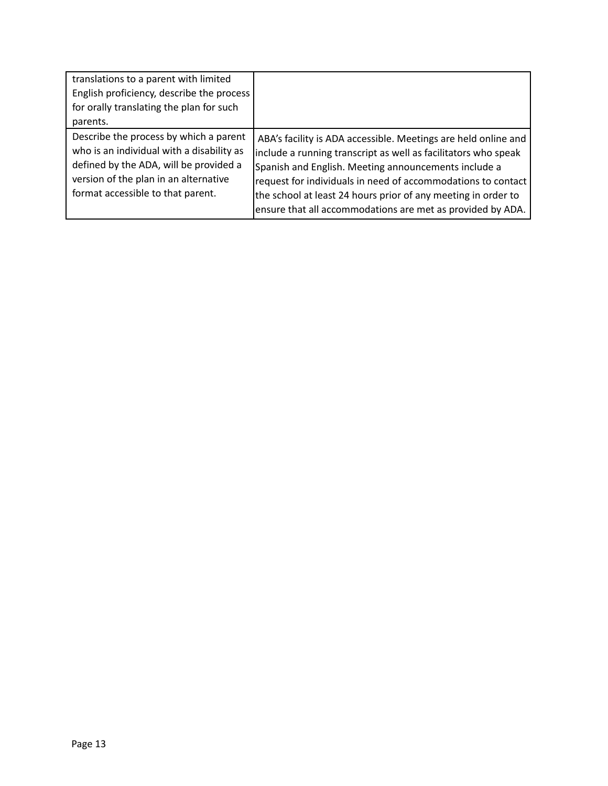| translations to a parent with limited<br>English proficiency, describe the process |                                                                |
|------------------------------------------------------------------------------------|----------------------------------------------------------------|
| for orally translating the plan for such<br>parents.                               |                                                                |
|                                                                                    |                                                                |
| Describe the process by which a parent                                             | ABA's facility is ADA accessible. Meetings are held online and |
| who is an individual with a disability as                                          | include a running transcript as well as facilitators who speak |
| defined by the ADA, will be provided a                                             | Spanish and English. Meeting announcements include a           |
| version of the plan in an alternative                                              | request for individuals in need of accommodations to contact   |
| format accessible to that parent.                                                  | the school at least 24 hours prior of any meeting in order to  |
|                                                                                    | ensure that all accommodations are met as provided by ADA.     |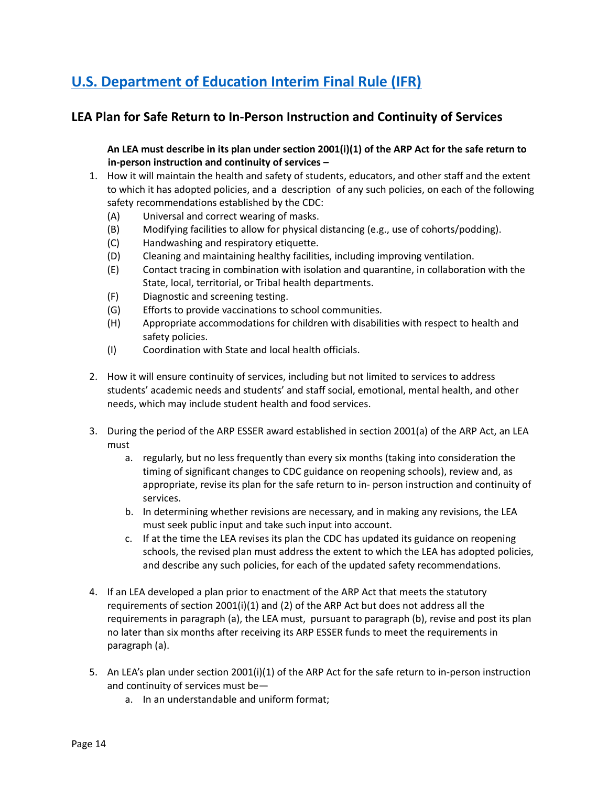# **U.S. [Department](https://www.govinfo.gov/content/pkg/FR-2021-04-22/pdf/2021-08359.pdf) of Education Interim Final Rule (IFR)**

# **LEA Plan for Safe Return to In-Person Instruction and Continuity of Services**

An LEA must describe in its plan under section 2001(i)(1) of the ARP Act for the safe return to **in-person instruction and continuity of services –**

- 1. How it will maintain the health and safety of students, educators, and other staff and the extent to which it has adopted policies, and a description of any such policies, on each of the following safety recommendations established by the CDC:
	- (A) Universal and correct wearing of masks.
	- (B) Modifying facilities to allow for physical distancing (e.g., use of cohorts/podding).
	- (C) Handwashing and respiratory etiquette.
	- (D) Cleaning and maintaining healthy facilities, including improving ventilation.
	- (E) Contact tracing in combination with isolation and quarantine, in collaboration with the State, local, territorial, or Tribal health departments.
	- (F) Diagnostic and screening testing.
	- (G) Efforts to provide vaccinations to school communities.
	- (H) Appropriate accommodations for children with disabilities with respect to health and safety policies.
	- (I) Coordination with State and local health officials.
- 2. How it will ensure continuity of services, including but not limited to services to address students' academic needs and students' and staff social, emotional, mental health, and other needs, which may include student health and food services.
- 3. During the period of the ARP ESSER award established in section 2001(a) of the ARP Act, an LEA must
	- a. regularly, but no less frequently than every six months (taking into consideration the timing of significant changes to CDC guidance on reopening schools), review and, as appropriate, revise its plan for the safe return to in- person instruction and continuity of services.
	- b. In determining whether revisions are necessary, and in making any revisions, the LEA must seek public input and take such input into account.
	- c. If at the time the LEA revises its plan the CDC has updated its guidance on reopening schools, the revised plan must address the extent to which the LEA has adopted policies, and describe any such policies, for each of the updated safety recommendations.
- 4. If an LEA developed a plan prior to enactment of the ARP Act that meets the statutory requirements of section 2001(i)(1) and (2) of the ARP Act but does not address all the requirements in paragraph (a), the LEA must, pursuant to paragraph (b), revise and post its plan no later than six months after receiving its ARP ESSER funds to meet the requirements in paragraph (a).
- 5. An LEA's plan under section 2001(i)(1) of the ARP Act for the safe return to in-person instruction and continuity of services must be
	- a. In an understandable and uniform format;